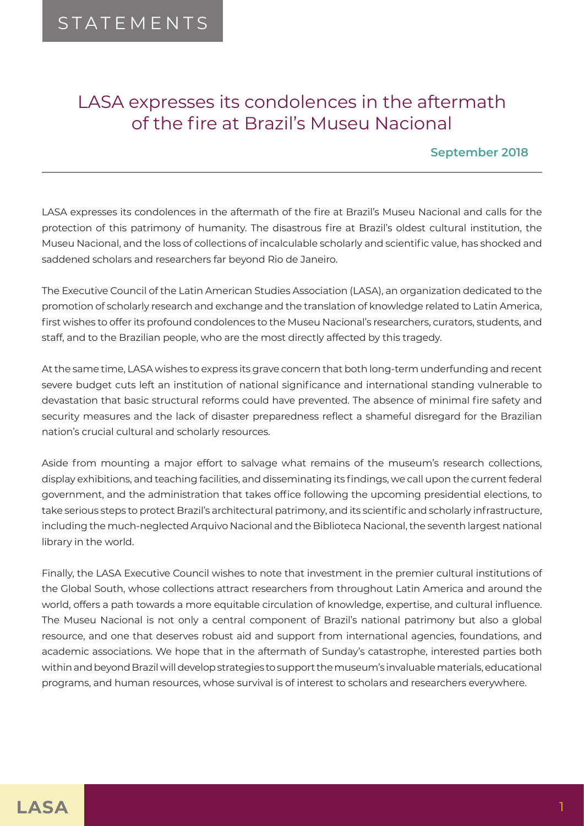## LASA expresses its condolences in the aftermath of the fire at Brazil's Museu Nacional

## **September 2018**

LASA expresses its condolences in the aftermath of the fire at Brazil's Museu Nacional and calls for the protection of this patrimony of humanity. The disastrous fire at Brazil's oldest cultural institution, the Museu Nacional, and the loss of collections of incalculable scholarly and scientific value, has shocked and saddened scholars and researchers far beyond Rio de Janeiro.

The Executive Council of the Latin American Studies Association (LASA), an organization dedicated to the promotion of scholarly research and exchange and the translation of knowledge related to Latin America, first wishes to offer its profound condolences to the Museu Nacional's researchers, curators, students, and staff, and to the Brazilian people, who are the most directly affected by this tragedy.

At the same time, LASA wishes to express its grave concern that both long-term underfunding and recent severe budget cuts left an institution of national significance and international standing vulnerable to devastation that basic structural reforms could have prevented. The absence of minimal fire safety and security measures and the lack of disaster preparedness reflect a shameful disregard for the Brazilian nation's crucial cultural and scholarly resources.

Aside from mounting a major effort to salvage what remains of the museum's research collections, display exhibitions, and teaching facilities, and disseminating its findings, we call upon the current federal government, and the administration that takes office following the upcoming presidential elections, to take serious steps to protect Brazil's architectural patrimony, and its scientific and scholarly infrastructure, including the much-neglected Arquivo Nacional and the Biblioteca Nacional, the seventh largest national library in the world.

Finally, the LASA Executive Council wishes to note that investment in the premier cultural institutions of the Global South, whose collections attract researchers from throughout Latin America and around the world, offers a path towards a more equitable circulation of knowledge, expertise, and cultural influence. The Museu Nacional is not only a central component of Brazil's national patrimony but also a global resource, and one that deserves robust aid and support from international agencies, foundations, and academic associations. We hope that in the aftermath of Sunday's catastrophe, interested parties both within and beyond Brazil will develop strategies to support the museum's invaluable materials, educational programs, and human resources, whose survival is of interest to scholars and researchers everywhere.